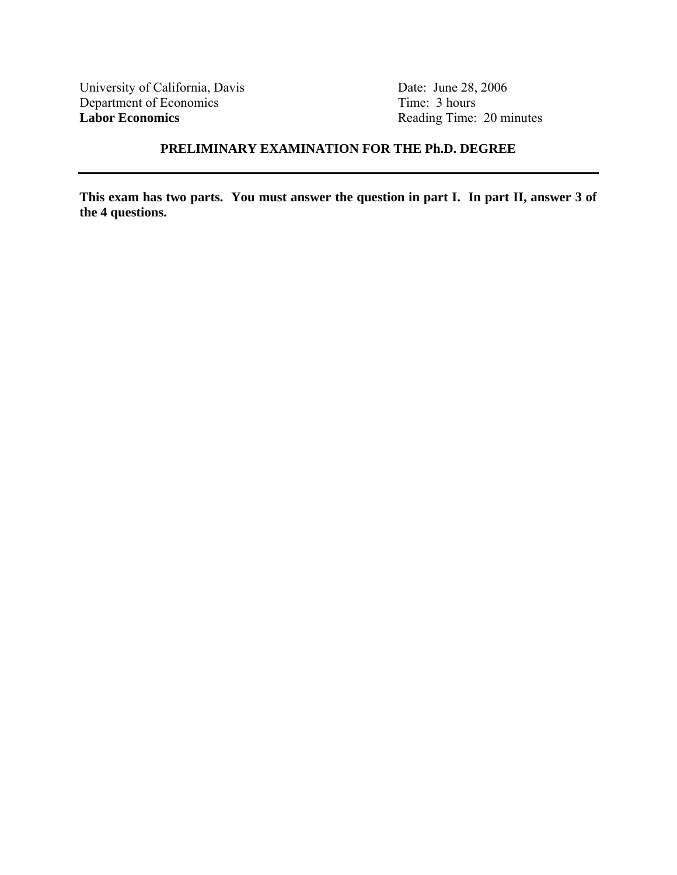University of California, Davis Date: June 28, 2006<br>Department of Economics Time: 3 hours Department of Economics<br>Labor Economics

Reading Time: 20 minutes

# **PRELIMINARY EXAMINATION FOR THE Ph.D. DEGREE**

**This exam has two parts. You must answer the question in part I. In part II, answer 3 of the 4 questions.**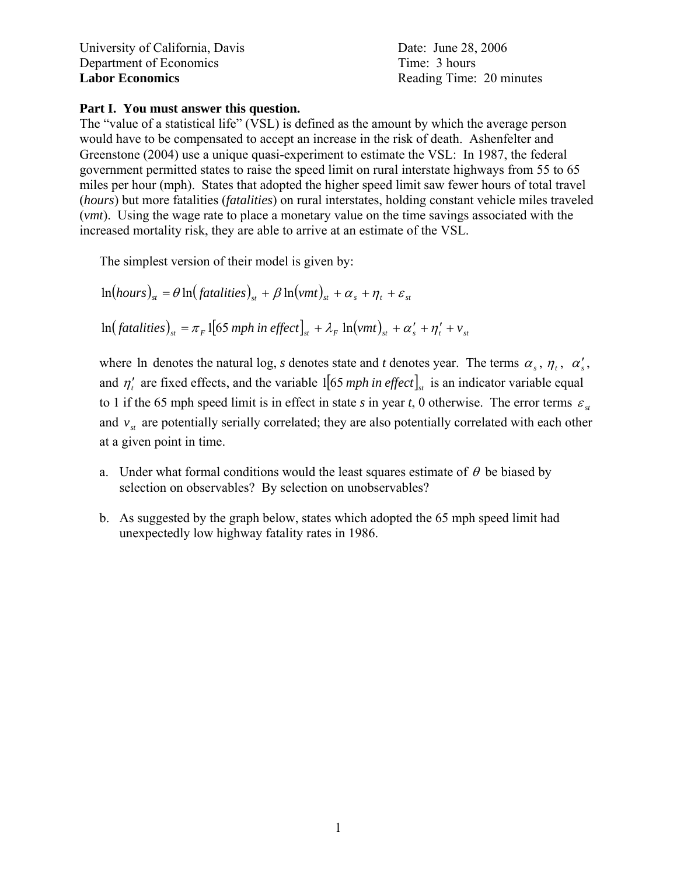University of California, Davis **Date:** University of California, Davis Department of Economics Time: 3 hours **Labor Economics** Reading Time: 20 minutes

## **Part I. You must answer this question.**

The "value of a statistical life" (VSL) is defined as the amount by which the average person would have to be compensated to accept an increase in the risk of death. Ashenfelter and Greenstone (2004) use a unique quasi-experiment to estimate the VSL: In 1987, the federal government permitted states to raise the speed limit on rural interstate highways from 55 to 65 miles per hour (mph). States that adopted the higher speed limit saw fewer hours of total travel (*hours*) but more fatalities (*fatalities*) on rural interstates, holding constant vehicle miles traveled (*vmt*). Using the wage rate to place a monetary value on the time savings associated with the increased mortality risk, they are able to arrive at an estimate of the VSL.

The simplest version of their model is given by:

 $\ln(hours)_{st} = \theta \ln(fataities)_{st} + \beta \ln(vmt)_{st} + \alpha_s + \eta_t + \varepsilon_{st}$  $\ln (fatalities)_{st} = \pi_F \left[ 65 \text{ mph in effect} \right]_{st} + \lambda_F \ln (vmt)_{st} + \alpha'_s + \eta'_t + v_{st}$ 

where ln denotes the natural log, *s* denotes state and *t* denotes year. The terms  $\alpha_s$ ,  $\eta_t$ ,  $\alpha'_s$ , and  $\eta'$  are fixed effects, and the variable 1<sup>[65</sup> *mph in effect*]<sub>*st*</sub> is an indicator variable equal to 1 if the 65 mph speed limit is in effect in state *s* in year *t*, 0 otherwise. The error terms  $\varepsilon$ <sub>*st*</sub> and  $v_{st}$  are potentially serially correlated; they are also potentially correlated with each other at a given point in time.

- a. Under what formal conditions would the least squares estimate of  $\theta$  be biased by selection on observables? By selection on unobservables?
- b. As suggested by the graph below, states which adopted the 65 mph speed limit had unexpectedly low highway fatality rates in 1986.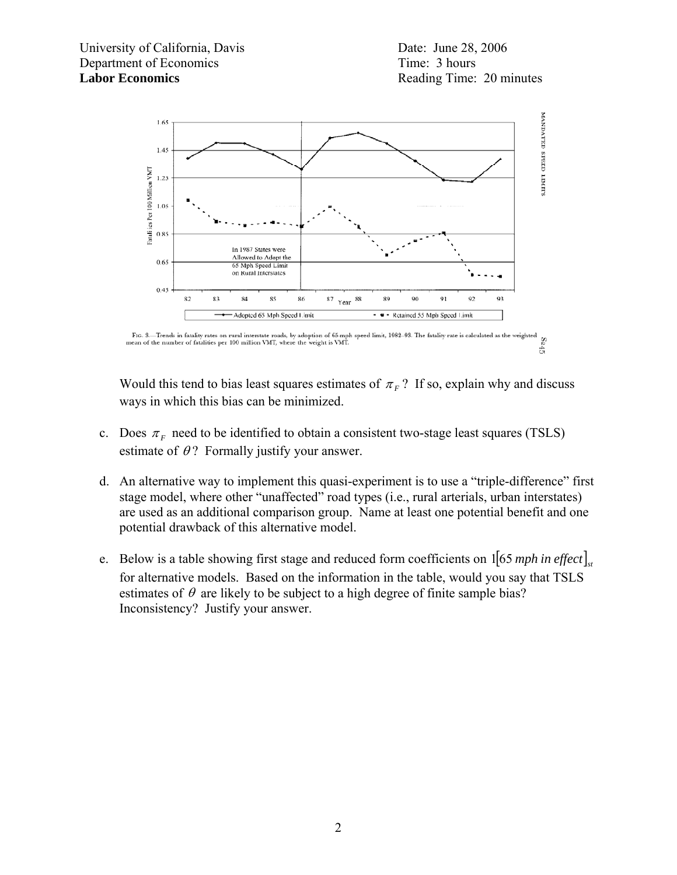



Would this tend to bias least squares estimates of  $\pi_F$ ? If so, explain why and discuss ways in which this bias can be minimized.

- c. Does  $\pi_F$  need to be identified to obtain a consistent two-stage least squares (TSLS) estimate of  $\theta$ ? Formally justify your answer.
- d. An alternative way to implement this quasi-experiment is to use a "triple-difference" first stage model, where other "unaffected" road types (i.e., rural arterials, urban interstates) are used as an additional comparison group. Name at least one potential benefit and one potential drawback of this alternative model.
- e. Below is a table showing first stage and reduced form coefficients on  $1 \left[ 65 \text{ mph in effect} \right]_{st}$ for alternative models. Based on the information in the table, would you say that TSLS estimates of  $\theta$  are likely to be subject to a high degree of finite sample bias? Inconsistency? Justify your answer.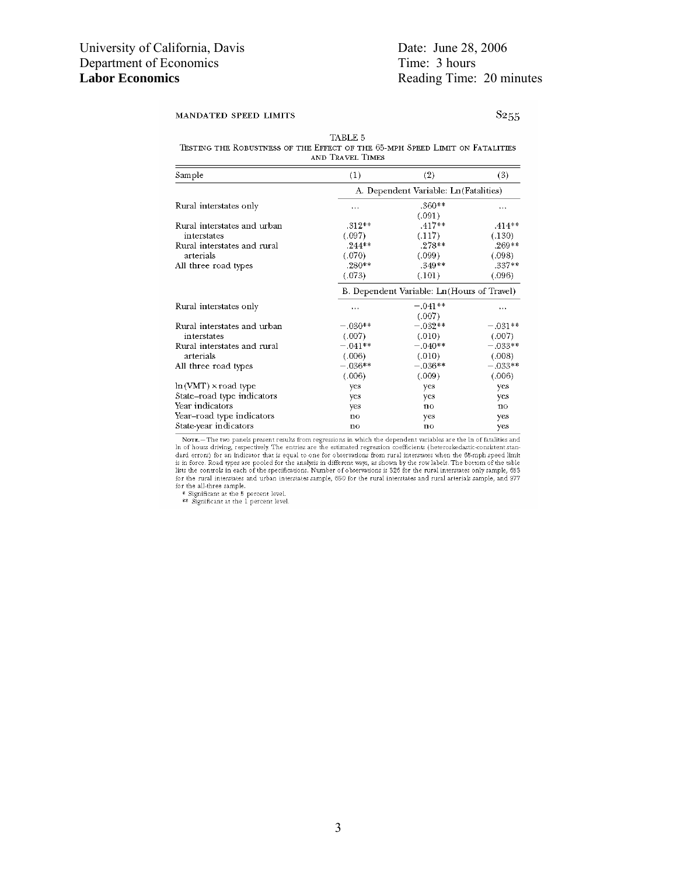### MANDATED SPEED LIMITS

S<sub>255</sub>

TABLE 5 TESTING THE ROBUSTNESS OF THE EFFECT OF THE 65-MPH SPEED LIMIT ON FATALITIES AND TRAVEL TIMES

| Sample                      | (1)                                         | (2)                                    | (3)          |  |
|-----------------------------|---------------------------------------------|----------------------------------------|--------------|--|
|                             |                                             | A. Dependent Variable: Ln (Fatalities) |              |  |
| Rural interstates only      | $\cdots$                                    | $.360**$                               |              |  |
|                             |                                             | (.091)                                 |              |  |
| Rural interstates and urban | $.312**$                                    | $.417**$                               | $.414**$     |  |
| interstates                 | (.097)                                      | (.117)                                 | (.130)       |  |
| Rural interstates and rural | $.244**$                                    | $.278**$                               | $.269**$     |  |
| arterials                   | (.070)                                      | (.099)                                 | (.098)       |  |
| All three road types        | $.280**$                                    | $.349**$                               | .337**       |  |
|                             | (.073)                                      | (.101)                                 | (.096)       |  |
|                             | B. Dependent Variable: Ln (Hours of Travel) |                                        |              |  |
| Rural interstates only      | $\cdots$                                    | $-.041**$                              | $\cdots$     |  |
|                             |                                             | (.007)                                 |              |  |
| Rural interstates and urban | $-.030**$                                   | $-.032**$                              | $-.031**$    |  |
| interstates                 | (.007)                                      | (.010)                                 | (.007)       |  |
| Rural interstates and rural | $-.041**$                                   | $-.040**$                              | $-.033**$    |  |
| arterials                   | (.006)                                      | (.010)                                 | (.008)       |  |
| All three road types        | $-.036**$                                   | $-.036**$                              | $-.033**$    |  |
|                             | (.006)                                      | (.009)                                 | (.006)       |  |
| $ln(VMT) \times road$ type  | yes                                         | yes                                    | yes          |  |
| State-road type indicators  | yes                                         | yes                                    | yes          |  |
| Year indicators             | yes                                         | no                                     | $\mathbf{n}$ |  |
| Year–road type indicators   | no                                          | yes                                    | yes          |  |
| State-year indicators       | no                                          | no                                     | yes          |  |

Nore.—The two panels present results from regressions in which the dependent variables are the ln of fatalities and<br>In of hours driving, respectively. The entries are the estimated regression coefficients (heteroskedasticis in force. Road types are pooled for the analysis in different ways, as shown by the row labels. The bottom of the table<br>lists the controls in each of the specifications. Number of observations is 326 for the rural inter for the rural interstates and urban interstates sample, 650 for the rural interstates and rural arterials sample, and 977 for the all-three sample.<br>
\* Significant at the 5 percent level.<br>
\* Significant at the 1 percent level.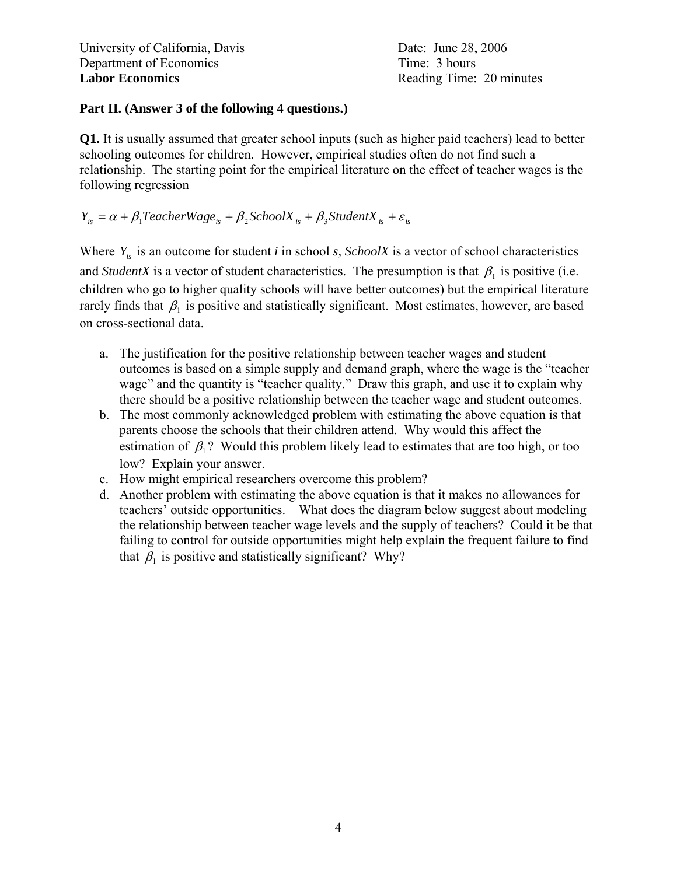## **Part II. (Answer 3 of the following 4 questions.)**

**Q1.** It is usually assumed that greater school inputs (such as higher paid teachers) lead to better schooling outcomes for children. However, empirical studies often do not find such a relationship. The starting point for the empirical literature on the effect of teacher wages is the following regression

$$
Y_{is} = \alpha + \beta_1 TeacherWage_{is} + \beta_2 SchoolX_{is} + \beta_3 StudentX_{is} + \varepsilon_{is}
$$

Where  $Y_{i}$  is an outcome for student *i* in school *s*, *SchoolX* is a vector of school characteristics and *StudentX* is a vector of student characteristics. The presumption is that  $\beta_1$  is positive (i.e. children who go to higher quality schools will have better outcomes) but the empirical literature rarely finds that  $\beta_1$  is positive and statistically significant. Most estimates, however, are based on cross-sectional data.

- a. The justification for the positive relationship between teacher wages and student outcomes is based on a simple supply and demand graph, where the wage is the "teacher wage" and the quantity is "teacher quality." Draw this graph, and use it to explain why there should be a positive relationship between the teacher wage and student outcomes.
- b. The most commonly acknowledged problem with estimating the above equation is that parents choose the schools that their children attend. Why would this affect the estimation of  $\beta_1$ ? Would this problem likely lead to estimates that are too high, or too low? Explain your answer.
- c. How might empirical researchers overcome this problem?
- d. Another problem with estimating the above equation is that it makes no allowances for teachers' outside opportunities. What does the diagram below suggest about modeling the relationship between teacher wage levels and the supply of teachers? Could it be that failing to control for outside opportunities might help explain the frequent failure to find that  $\beta_1$  is positive and statistically significant? Why?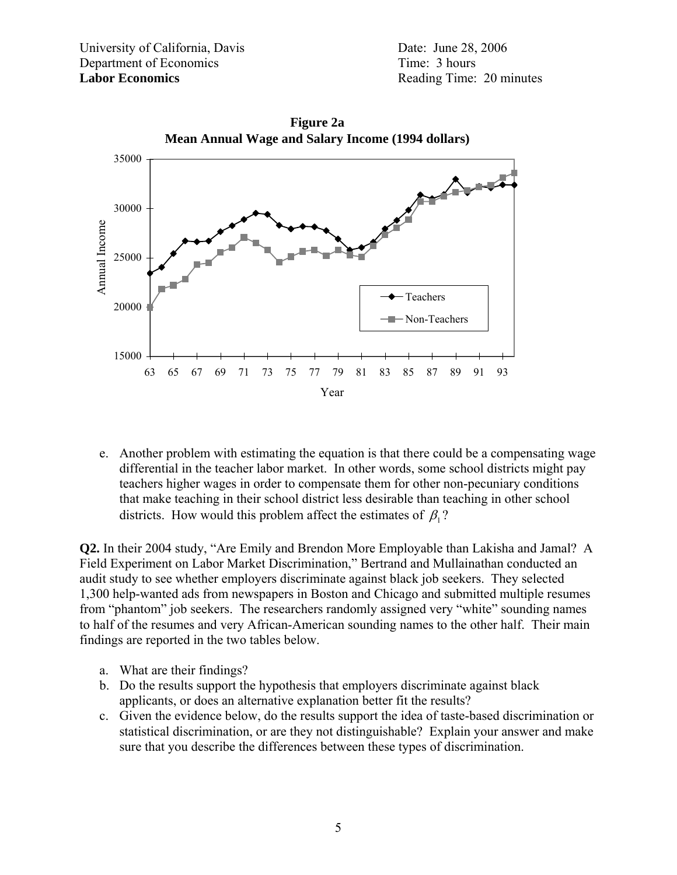

**Figure 2a**

e. Another problem with estimating the equation is that there could be a compensating wage differential in the teacher labor market. In other words, some school districts might pay teachers higher wages in order to compensate them for other non-pecuniary conditions that make teaching in their school district less desirable than teaching in other school districts. How would this problem affect the estimates of  $\beta$ <sup>1</sup>

**Q2.** In their 2004 study, "Are Emily and Brendon More Employable than Lakisha and Jamal? A Field Experiment on Labor Market Discrimination," Bertrand and Mullainathan conducted an audit study to see whether employers discriminate against black job seekers. They selected 1,300 help-wanted ads from newspapers in Boston and Chicago and submitted multiple resumes from "phantom" job seekers. The researchers randomly assigned very "white" sounding names to half of the resumes and very African-American sounding names to the other half. Their main findings are reported in the two tables below.

- a. What are their findings?
- b. Do the results support the hypothesis that employers discriminate against black applicants, or does an alternative explanation better fit the results?
- c. Given the evidence below, do the results support the idea of taste-based discrimination or statistical discrimination, or are they not distinguishable? Explain your answer and make sure that you describe the differences between these types of discrimination.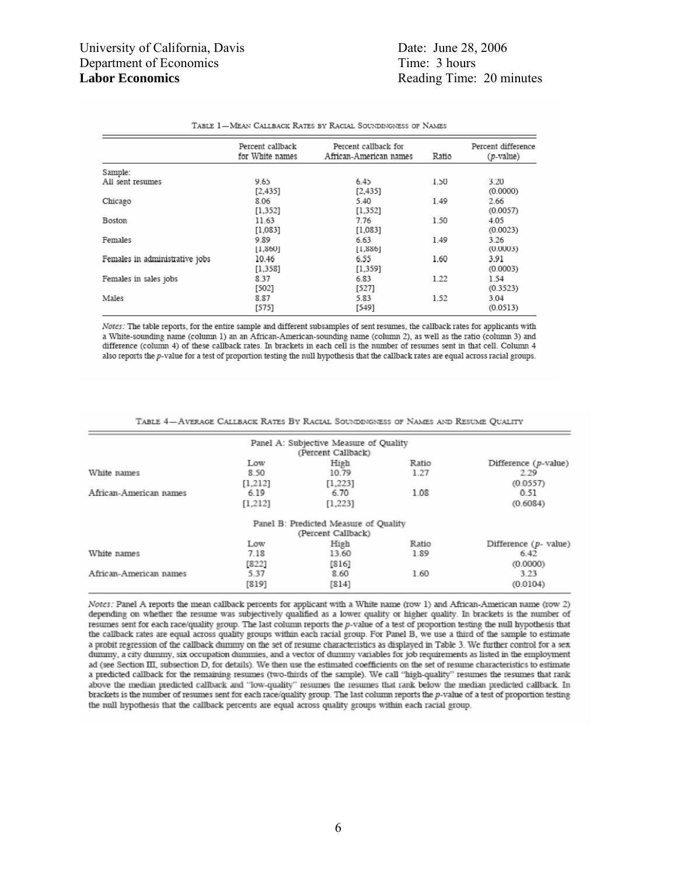|                                | Percent callback<br>for White names | Percent callback for<br>African-American names | Ratio | Percent difference<br>(p-value) |
|--------------------------------|-------------------------------------|------------------------------------------------|-------|---------------------------------|
| Sample:                        |                                     |                                                |       |                                 |
| All sent resumes               | 9.65<br>[2,435]                     | 6.45<br>[2,435]                                | 1.50  | 3.20<br>(0.0000)                |
| Chicago                        | 8.06<br>[1,352]                     | 5.40<br>[1, 352]                               | 1.49  | 2.66<br>(0.0057)                |
| Boston                         | 11.63<br>[1,083]                    | 7.76<br>[1,083]                                | 1.50  | 4.05<br>(0.0023)                |
| Females                        | 9.89<br>[1,860]                     | 6.63<br>[1,886]                                | 1.49  | 3.26<br>(0.0003)                |
| Females in administrative jobs | 10.46<br>[1, 358]                   | 6.55<br>[1, 359]                               | 1.60  | 3.91<br>(0.0003)                |
| Females in sales jobs          | 8.37<br>$[502]$                     | 6.83<br>[527]                                  | 1.22  | 1.54<br>(0.3523)                |
| Males                          | 8.87<br>[575]                       | 5.83<br>[549]                                  | 1.52  | 3.04<br>(0.0513)                |

#### TABLE 1-MEAN CALLBACK RATES BY RACIAL SOUNDINGNESS OF NAMES

Notes: The table reports, for the entire sample and different subsamples of sent resumes, the callback rates for applicants with a White-sounding name (column 1) an an African-American-sounding name (column 2), as well as the ratio (column 3) and difference (column 4) of these callback rates. In brackets in each cell is the number of resumes sent in that cell. Column 4 also reports the p-value for a test of proportion testing the null hypothesis that the callback rates are equal across racial groups.

| Panel A: Subjective Measure of Quality<br>(Percent Callback) |                          |
|--------------------------------------------------------------|--------------------------|
| Ratio                                                        | Difference $(p$ -value)  |
| 1.27                                                         | 2.29                     |
|                                                              | (0.0557)                 |
| 1.08                                                         | 0.51                     |
|                                                              | (0.6084)                 |
| Panel B: Predicted Measure of Quality                        |                          |
| (Percent Callback)                                           |                          |
| Ratio                                                        | Difference $(p$ - value) |
| 1.89                                                         | 6.42                     |
|                                                              | (0.0000)                 |
| 1.60                                                         | 3.23                     |
|                                                              | (0.0104)                 |
|                                                              |                          |

TABLE 4-AVERAGE CALLBACK RATES BY RACIAL SOUNDINGNESS OF NAMES AND RESUME QUALITY

Notes: Panel A reports the mean callback percents for applicant with a White name (row 1) and African-American name (row 2) depending on whether the resume was subjectively qualified as a lower quality or higher quality. In brackets is the number of resumes sent for each race/quality group. The last column reports the p-value of a test of proportion testing the null hypothesis that the callback rates are equal across quality groups within each racial group. For Panel B, we use a third of the sample to estimate a probit regression of the callback dummy on the set of resume characteristics as displayed in Table 3. We further control for a sex dunmy, a city dunmy, six occupation dummies, and a vector of dummy variables for job requirements as listed in the employment ad (see Section III, subsection D, for details). We then use the estimated coefficients on the set of resume characteristics to estimate a predicted callback for the remaining resumes (two-thirds of the sample). We call "high-quality" resumes the resumes that rank above the median predicted callback and "low-quality" resumes the resumes that rank below the median predicted callback. In brackets is the number of resumes sent for each race/quality group. The last column reports the p-value of a test of proportion testing the null hypothesis that the callback percents are equal across quality groups within each racial group.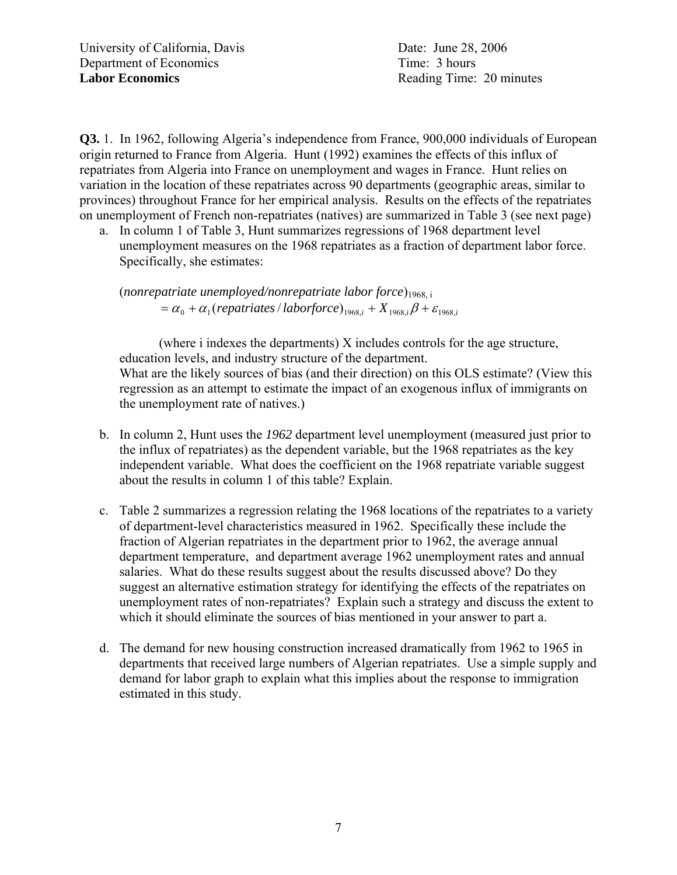**Q3.** 1. In 1962, following Algeria's independence from France, 900,000 individuals of European origin returned to France from Algeria. Hunt (1992) examines the effects of this influx of repatriates from Algeria into France on unemployment and wages in France. Hunt relies on variation in the location of these repatriates across 90 departments (geographic areas, similar to provinces) throughout France for her empirical analysis. Results on the effects of the repatriates on unemployment of French non-repatriates (natives) are summarized in Table 3 (see next page)

a. In column 1 of Table 3, Hunt summarizes regressions of 1968 department level unemployment measures on the 1968 repatriates as a fraction of department labor force. Specifically, she estimates:

(*nonrepatriate unemployed/nonrepatriate labor force*)1968, i  $\alpha_0 + \alpha_1$  (repatriates *laborforce*)<sub>1968,*i*</sub> +  $X$ <sub>1968,*i*</sub>  $\beta$  +  $\varepsilon$ <sub>1968,*i*</sub>

 (where i indexes the departments) X includes controls for the age structure, education levels, and industry structure of the department. What are the likely sources of bias (and their direction) on this OLS estimate? (View this regression as an attempt to estimate the impact of an exogenous influx of immigrants on the unemployment rate of natives.)

- b. In column 2, Hunt uses the *1962* department level unemployment (measured just prior to the influx of repatriates) as the dependent variable, but the 1968 repatriates as the key independent variable. What does the coefficient on the 1968 repatriate variable suggest about the results in column 1 of this table? Explain.
- c. Table 2 summarizes a regression relating the 1968 locations of the repatriates to a variety of department-level characteristics measured in 1962. Specifically these include the fraction of Algerian repatriates in the department prior to 1962, the average annual department temperature, and department average 1962 unemployment rates and annual salaries. What do these results suggest about the results discussed above? Do they suggest an alternative estimation strategy for identifying the effects of the repatriates on unemployment rates of non-repatriates? Explain such a strategy and discuss the extent to which it should eliminate the sources of bias mentioned in your answer to part a.
- d. The demand for new housing construction increased dramatically from 1962 to 1965 in departments that received large numbers of Algerian repatriates. Use a simple supply and demand for labor graph to explain what this implies about the response to immigration estimated in this study.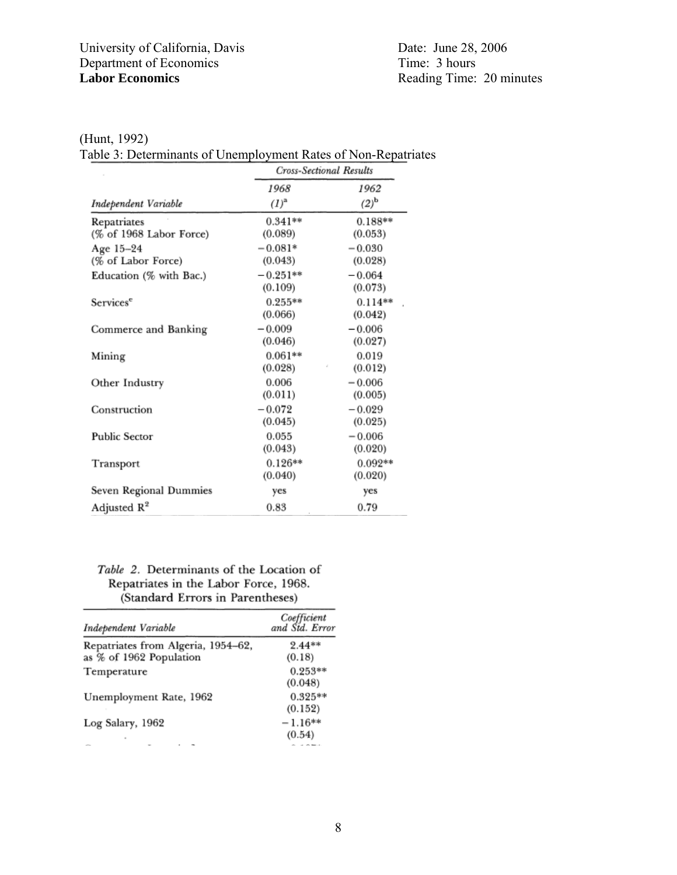(Hunt, 1992)

Table 3: Determinants of Unemployment Rates of Non-Repatriates

|                         | Cross-Sectional Results |                      |  |
|-------------------------|-------------------------|----------------------|--|
|                         | 1968                    | 1962                 |  |
| Independent Variable    | $(l)^{a}$               | $(2)^{\rm b}$        |  |
| Repatriates             | $0.341**$               | $0.188**$            |  |
| (% of 1968 Labor Force) | (0.089)                 | (0.053)              |  |
| Age 15-24               | $-0.081*$               | $-0.030$             |  |
| (% of Labor Force)      | (0.043)                 | (0.028)              |  |
| Education (% with Bac.) | $-0.251**$<br>(0.109)   | $-0.064$<br>(0.073)  |  |
| Services <sup>e</sup>   | $0.255**$<br>(0.066)    | $0.114**$<br>(0.042) |  |
| Commerce and Banking    | $-0.009$<br>(0.046)     | $-0.006$<br>(0.027)  |  |
| Mining                  | $0.061**$<br>(0.028)    | 0.019<br>(0.012)     |  |
| Other Industry          | 0.006<br>(0.011)        | $-0.006$<br>(0.005)  |  |
| Construction            | $-0.072$<br>(0.045)     | $-0.029$<br>(0.025)  |  |
| <b>Public Sector</b>    | 0.055<br>(0.043)        | $-0.006$<br>(0.020)  |  |
| Transport               | $0.126**$<br>(0.040)    | $0.092**$<br>(0.020) |  |
| Seven Regional Dummies  | yes                     | yes                  |  |
| Adjusted $R^2$          | 0.83                    | 0.79                 |  |

### Table 2. Determinants of the Location of Repatriates in the Labor Force, 1968. (Standard Errors in Parentheses)

| Independent Variable                                          | Coefficient<br>and Std. Error |
|---------------------------------------------------------------|-------------------------------|
| Repatriates from Algeria, 1954-62,<br>as % of 1962 Population | $2.44**$<br>(0.18)            |
| Temperature                                                   | $0.253**$<br>(0.048)          |
| Unemployment Rate, 1962                                       | $0.325**$<br>(0.152)          |
| Log Salary, 1962                                              | $-1.16**$<br>(0.54)           |
| ٠                                                             |                               |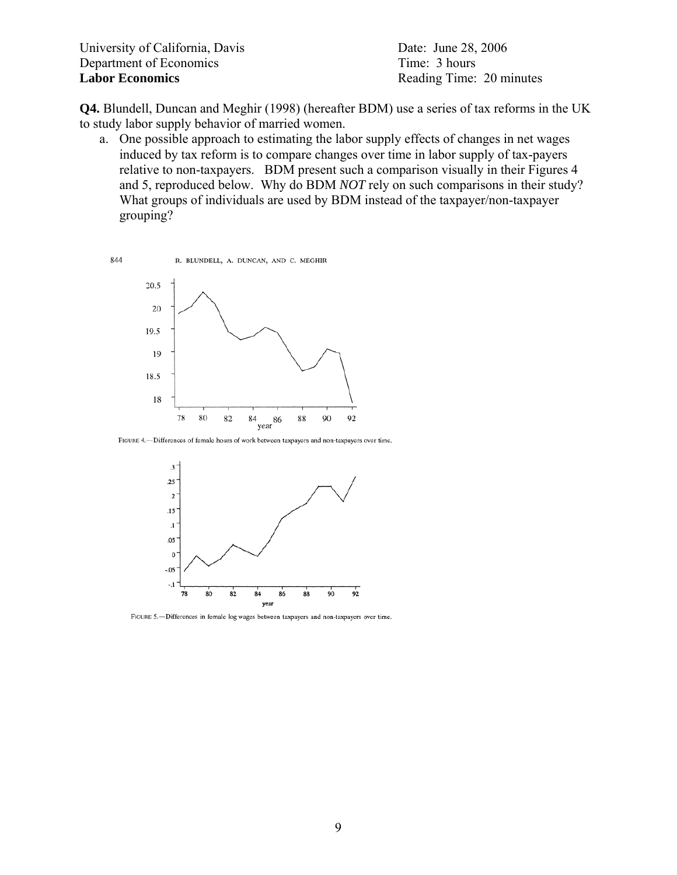**Q4.** Blundell, Duncan and Meghir (1998) (hereafter BDM) use a series of tax reforms in the UK to study labor supply behavior of married women.

a. One possible approach to estimating the labor supply effects of changes in net wages induced by tax reform is to compare changes over time in labor supply of tax-payers relative to non-taxpayers. BDM present such a comparison visually in their Figures 4 and 5, reproduced below. Why do BDM *NOT* rely on such comparisons in their study? What groups of individuals are used by BDM instead of the taxpayer/non-taxpayer grouping?



FIGURE 4.- Differences of female hours of work between taxpayers and non-taxpayers over time.



FIGURE 5.-Differences in female log wages between taxpayers and non-taxpayers over time.